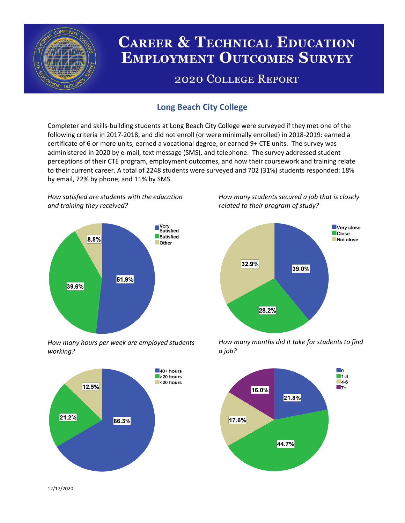

# **CAREER & TECHNICAL EDUCATION EMPLOYMENT OUTCOMES SURVEY**

## **2020 COLLEGE REPORT**

## **Long Beach City College**

Completer and skills-building students at Long Beach City College were surveyed if they met one of the following criteria in 2017-2018, and did not enroll (or were minimally enrolled) in 2018-2019: earned a certificate of 6 or more units, earned a vocational degree, or earned 9+ CTE units. The survey was administered in 2020 by e-mail, text message (SMS), and telephone. The survey addressed student perceptions of their CTE program, employment outcomes, and how their coursework and training relate to their current career. A total of 2248 students were surveyed and 702 (31%) students responded: 18% by email, 72% by phone, and 11% by SMS.

*How satisfied are students with the education and training they received?*



*How many hours per week are employed students working?*



*How many students secured a job that is closely related to their program of study?*



*How many months did it take for students to find a job?*



12/17/2020